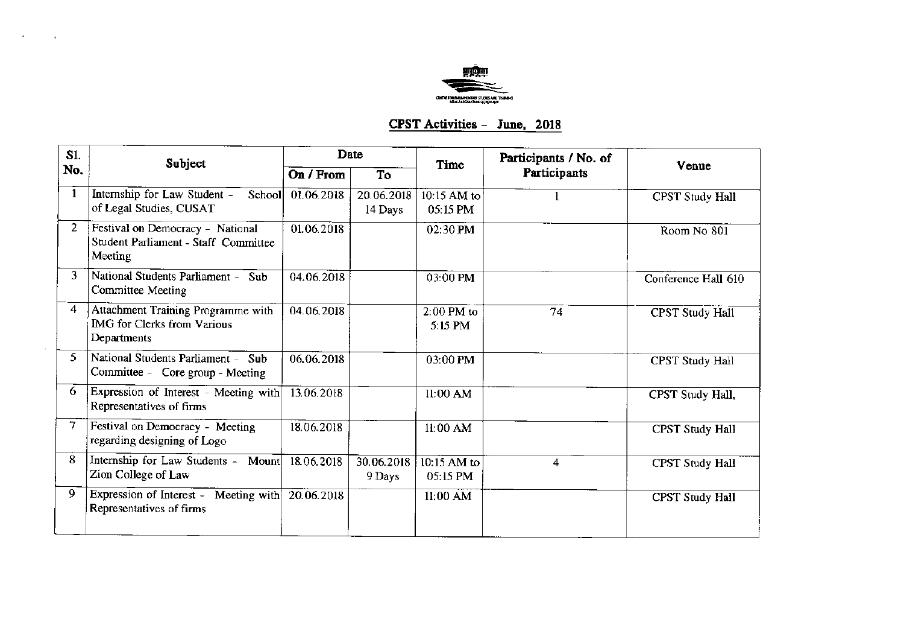

## CPST Activities - June, 2018

| S1.            | Subject                                                                             | Date       |                       | Time                      | Participants / No. of | Venue                  |
|----------------|-------------------------------------------------------------------------------------|------------|-----------------------|---------------------------|-----------------------|------------------------|
| No.            |                                                                                     | On / From  | To                    |                           | Participants          |                        |
|                | Internship for Law Student -<br>School<br>of Legal Studies, CUSAT                   | 01.06.2018 | 20.06.2018<br>14 Days | 10:15 AM to<br>05:15 PM   |                       | CPST Study Hall        |
| $\overline{2}$ | Festival on Democracy - National<br>Student Parliament - Staff Committee<br>Meeting | 01.06.2018 |                       | 02:30 PM                  |                       | Room No 801            |
| 3.             | National Students Parliament - Sub<br><b>Committee Meeting</b>                      | 04.06.2018 |                       | 03:00 PM                  |                       | Conference Hall 610    |
| 4              | Attachment Training Programme with<br>IMG for Clerks from Various<br>Departments    | 04.06.2018 |                       | $2:00$ PM to<br>5:15 PM   | 74                    | <b>CPST Study Hall</b> |
| 5.             | National Students Parliament - Sub<br>Committee - Core group - Meeting              | 06.06.2018 |                       | 03:00 PM                  |                       | CPST Study Hall        |
| 6              | Expression of Interest - Meeting with<br>Representatives of firms                   | 13.06.2018 |                       | 11:00 AM                  |                       | CPST Study Hall,       |
| 7              | Festival on Democracy - Meeting<br>regarding designing of Logo                      | 18.06.2018 |                       | 11:00 AM                  |                       | CPST Study Hall        |
| 8              | Internship for Law Students - Mount<br>Zion College of Law                          | 18.06.2018 | 30.06.2018<br>9 Days  | $10:15$ AM to<br>05:15 PM | 4                     | CPST Study Hall        |
| 9              | Expression of Interest - Meeting with<br>Representatives of firms                   | 20.06.2018 |                       | 11:00 AM                  |                       | CPST Study Hall        |

 $\epsilon$ 

 $\frac{1}{2}$